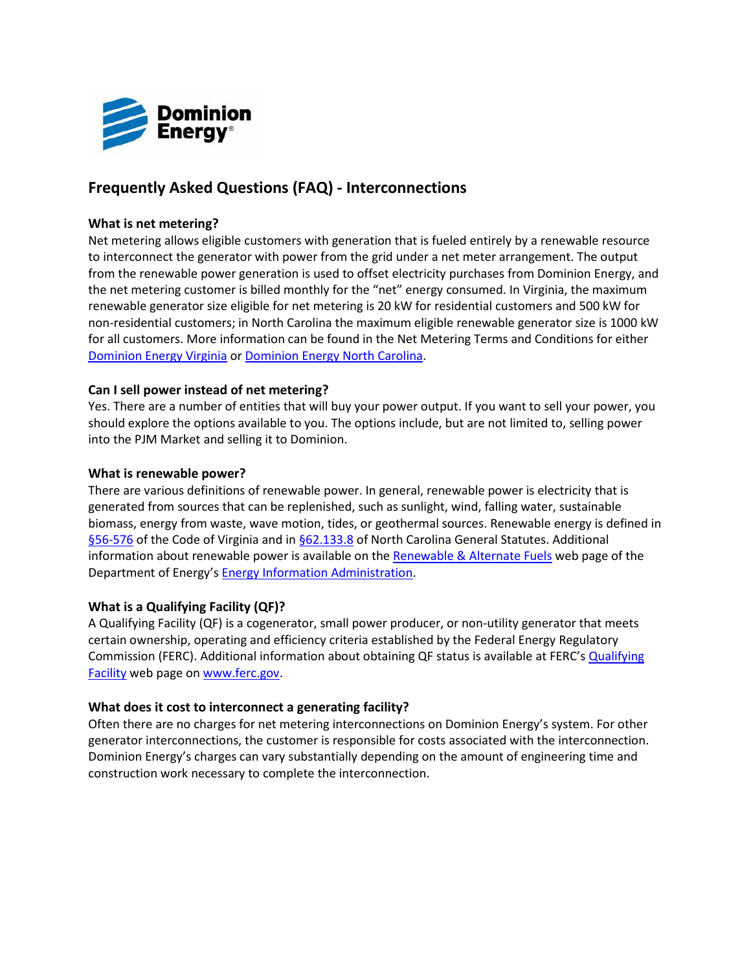

# **Frequently Asked Questions (FAQ) - Interconnections**

## **What is net metering?**

Net metering allows eligible customers with generation that is fueled entirely by a renewable resource to interconnect the generator with power from the grid under a net meter arrangement. The output from the renewable power generation is used to offset electricity purchases from Dominion Energy, and the net metering customer is billed monthly for the "net" energy consumed. In Virginia, the maximum renewable generator size eligible for net metering is 20 kW for residential customers and 500 kW for non-residential customers; in North Carolina the maximum eligible renewable generator size is 1000 kW for all customers. More information can be found in the Net Metering Terms and Conditions for either [Dominion Energy Virginia](https://dominionenergy.com/library/domcom/pdfs/virginia-power/rates/terms-and-conditions/vatc25ra) or [Dominion Energy North Carolina.](https://dominionenergy.com/library/domcom/pdfs/north-carolina-power/rates/terms-and-conditions/term25)

## **Can I sell power instead of net metering?**

Yes. There are a number of entities that will buy your power output. If you want to sell your power, you should explore the options available to you. The options include, but are not limited to, selling power into the PJM Market and selling it to Dominion.

## **What is renewable power?**

There are various definitions of renewable power. In general, renewable power is electricity that is generated from sources that can be replenished, such as sunlight, wind, falling water, sustainable biomass, energy from waste, wave motion, tides, or geothermal sources. Renewable energy is defined in [§56-576](http://leg1.state.va.us/cgi-bin/legp504.exe?000+cod+56-576) of the Code of Virginia and in [§62.133.8](http://www.ncleg.net/enactedlegislation/statutes/html/bychapter/chapter_62.html) of North Carolina General Statutes. Additional information about renewable power is available on the [Renewable & Alternate Fuels](http://www.eia.doe.gov/fuelrenewable.html) web page of the Department of Energy's [Energy Information Administration.](http://www.eia.doe.gov/fuelrenewable.html)

## **What is a Qualifying Facility (QF)?**

A Qualifying Facility (QF) is a cogenerator, small power producer, or non-utility generator that meets certain ownership, operating and efficiency criteria established by the Federal Energy Regulatory Commission (FERC). Additional information about obtaining QF status is available at FERC's [Qualifying](http://www.ferc.gov/industries/electric/gen-info/qual-fac/what-is.asp)  [Facility](http://www.ferc.gov/industries/electric/gen-info/qual-fac/what-is.asp) web page o[n www.ferc.gov.](http://www.ferc.gov/)

## **What does it cost to interconnect a generating facility?**

Often there are no charges for net metering interconnections on Dominion Energy's system. For other generator interconnections, the customer is responsible for costs associated with the interconnection. Dominion Energy's charges can vary substantially depending on the amount of engineering time and construction work necessary to complete the interconnection.